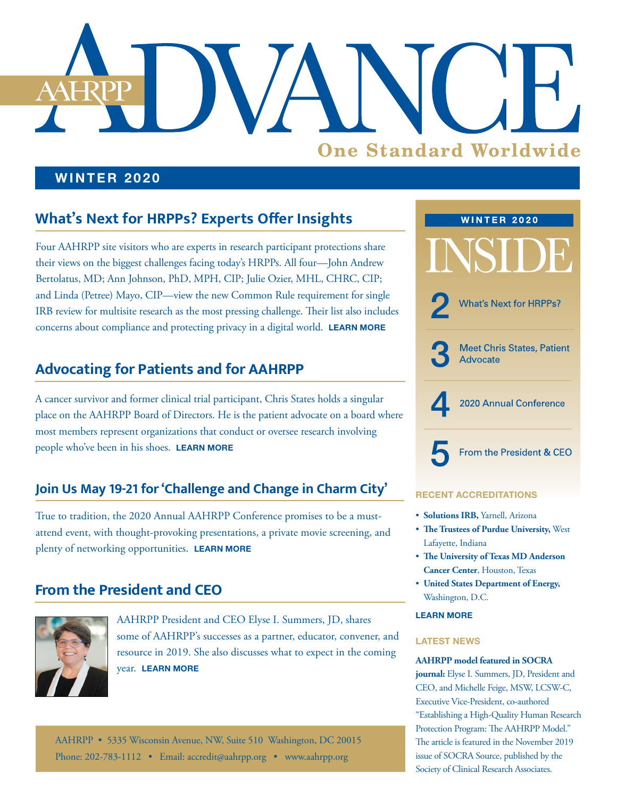# **One Standard Worldwide**

### **WINTER 2020**

# **What's Next for HRPPs? Experts Offer Insights**

Four AAHRPP site visitors who are experts in research participant protections share their views on the biggest challenges facing today's HRPPs. All four—John Andrew Bertolatus, MD; Ann Johnson, PhD, MPH, CIP; Julie Ozier, MHL, CHRC, CIP; and Linda (Petree) Mayo, CIP—view the new Common Rule requirement for single IRB review for multisite research as the most pressing challenge. Their list also includes concerns about compliance and protecting privacy in a digital world. **[LEARN MORE](#page-1-0)**

# **Advocating for Patients and for AAHRPP**

A cancer survivor and former clinical trial participant, Chris States holds a singular place on the AAHRPP Board of Directors. He is the patient advocate on a board where most members represent organizations that conduct or oversee research involving people who've been in his shoes. **[LEARN MORE](#page-2-0)**

## **Join Us May 19-21 for 'Challenge and Change in Charm City'**

True to tradition, the 2020 Annual AAHRPP Conference promises to be a mustattend event, with thought-provoking presentations, a private movie screening, and plenty of networking opportunities. **[LEARN MORE](#page-3-0)**

## **From the President and CEO**



AAHRPP President and CEO Elyse I. Summers, JD, shares some of AAHRPP's successes as a partner, educator, convener, and resource in 2019. She also discusses what to expect in the coming year. **[LEARN MORE](#page-4-0)**

AAHRPP • 5335 Wisconsin Avenue, NW, Suite 510 Washington, DC 20015 Phone: 202-783-1112 • Email: [accredit@aahrpp.org](mailto:accredit%40aahrpp.org?subject=) • [www.aahrpp.org](http://www.aahrpp.org)



### **RECENT ACCREDITATIONS**

- **Solutions IRB,** Yarnell, Arizona
- **The Trustees of Purdue University,** West Lafayette, Indiana
- **The University of Texas MD Anderson Cancer Center**, Houston, Texas
- **United States Department of Energy,**  Washington, D.C.

### **[LEARN MORE](https://admin.aahrpp.org/Website%20Documents/4th%20Q%20%202019%20accreditations%20release.FINAL%2012%2018%2019.pdf)**

### **LATEST NEWS**

### **AAHRPP model featured in SOCRA**

**journal:** Elyse I. Summers, JD, President and CEO, and Michelle Feige, MSW, LCSW-C, Executive Vice-President, co-authored "Establishing a High-Quality Human Research Protection Program: The AAHRPP Model." The article is featured in the November 2019 issue of SOCRA Source, published by the Society of Clinical Research Associates.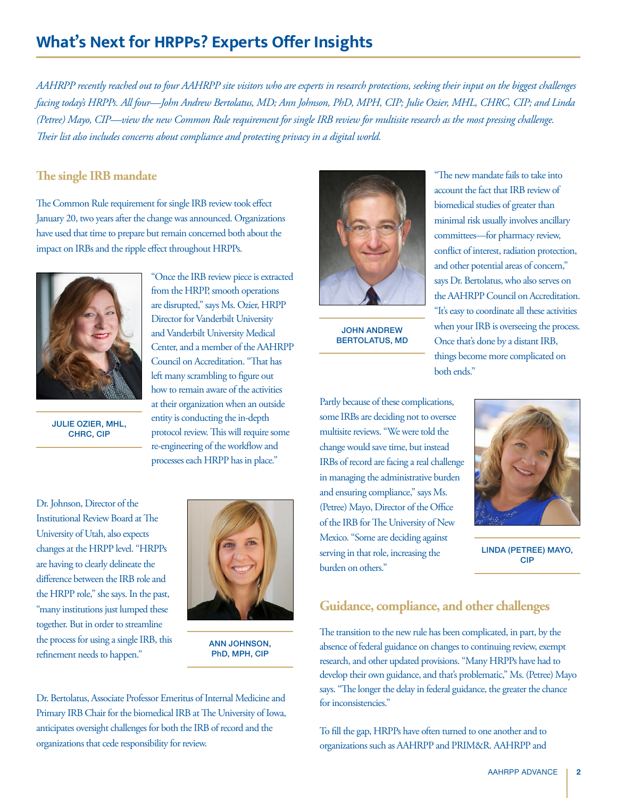# <span id="page-1-0"></span>**What's Next for HRPPs? Experts Offer Insights**

*AAHRPP recently reached out to four AAHRPP site visitors who are experts in research protections, seeking their input on the biggest challenges facing today's HRPPs. All four—John Andrew Bertolatus, MD; Ann Johnson, PhD, MPH, CIP; Julie Ozier, MHL, CHRC, CIP; and Linda (Petree) Mayo, CIP—view the new Common Rule requirement for single IRB review for multisite research as the most pressing challenge. Their list also includes concerns about compliance and protecting privacy in a digital world.*

### **The single IRB mandate**

The Common Rule requirement for single IRB review took effect January 20, two years after the change was announced. Organizations have used that time to prepare but remain concerned both about the impact on IRBs and the ripple effect throughout HRPPs.



are disrupted," says Ms. Ozier, HRPP Director for Vanderbilt University and Vanderbilt University Medical Center, and a member of the AAHRPP Council on Accreditation. "That has left many scrambling to figure out how to remain aware of the activities at their organization when an outside entity is conducting the in-depth protocol review. This will require some re-engineering of the workflow and processes each HRPP has in place."

"Once the IRB review piece is extracted from the HRPP, smooth operations

JULIE OZIER, MHL, CHRC, CIP

Dr. Johnson, Director of the Institutional Review Board at The University of Utah, also expects changes at the HRPP level. "HRPPs are having to clearly delineate the difference between the IRB role and the HRPP role," she says. In the past, "many institutions just lumped these together. But in order to streamline the process for using a single IRB, this refinement needs to happen."



ANN JOHNSON, PhD, MPH, CIP

Dr. Bertolatus, Associate Professor Emeritus of Internal Medicine and Primary IRB Chair for the biomedical IRB at The University of Iowa, anticipates oversight challenges for both the IRB of record and the organizations that cede responsibility for review.



JOHN ANDREW BERTOLATUS, MD

Partly because of these complications, some IRBs are deciding not to oversee multisite reviews. "We were told the change would save time, but instead IRBs of record are facing a real challenge in managing the administrative burden and ensuring compliance," says Ms. (Petree) Mayo, Director of the Office of the IRB for The University of New Mexico. "Some are deciding against serving in that role, increasing the burden on others."



"The new mandate fails to take into account the fact that IRB review of biomedical studies of greater than minimal risk usually involves ancillary committees—for pharmacy review, conflict of interest, radiation protection, and other potential areas of concern," says Dr. Bertolatus, who also serves on the AAHRPP Council on Accreditation. "It's easy to coordinate all these activities when your IRB is overseeing the process. Once that's done by a distant IRB, things become more complicated on

LINDA (PETREE) MAYO, CIP

### **Guidance, compliance, and other challenges**

The transition to the new rule has been complicated, in part, by the absence of federal guidance on changes to continuing review, exempt research, and other updated provisions. "Many HRPPs have had to develop their own guidance, and that's problematic," Ms. (Petree) Mayo says. "The longer the delay in federal guidance, the greater the chance for inconsistencies."

both ends."

To fill the gap, HRPPs have often turned to one another and to organizations such as AAHRPP and PRIM&R. AAHRPP and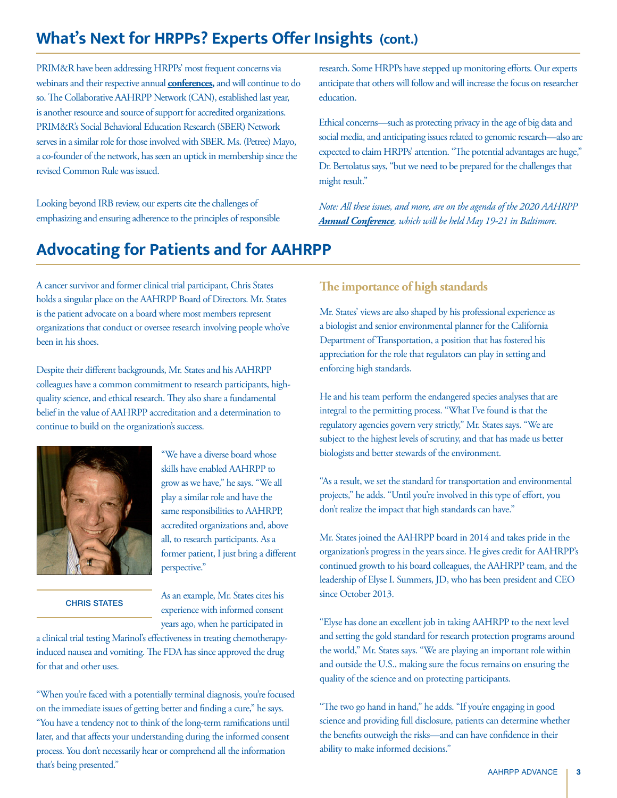# <span id="page-2-0"></span>**What's Next for HRPPs? Experts Offer Insights (cont.)**

PRIM&R have been addressing HRPPs' most frequent concerns via webinars and their respective annual **[conferences,](https://cvent.me/BXNYN)** and will continue to do so. The Collaborative AAHRPP Network (CAN), established last year, is another resource and source of support for accredited organizations. PRIM&R's Social Behavioral Education Research (SBER) Network serves in a similar role for those involved with SBER. Ms. (Petree) Mayo, a co-founder of the network, has seen an uptick in membership since the revised Common Rule was issued.

Looking beyond IRB review, our experts cite the challenges of emphasizing and ensuring adherence to the principles of responsible

# **Advocating for Patients and for AAHRPP**

A cancer survivor and former clinical trial participant, Chris States holds a singular place on the AAHRPP Board of Directors. Mr. States is the patient advocate on a board where most members represent organizations that conduct or oversee research involving people who've been in his shoes.

Despite their different backgrounds, Mr. States and his AAHRPP colleagues have a common commitment to research participants, highquality science, and ethical research. They also share a fundamental belief in the value of AAHRPP accreditation and a determination to continue to build on the organization's success.



### CHRIS STATES

"We have a diverse board whose skills have enabled AAHRPP to grow as we have," he says. "We all play a similar role and have the same responsibilities to AAHRPP, accredited organizations and, above all, to research participants. As a former patient, I just bring a different perspective."

As an example, Mr. States cites his experience with informed consent years ago, when he participated in

a clinical trial testing Marinol's effectiveness in treating chemotherapyinduced nausea and vomiting. The FDA has since approved the drug for that and other uses.

"When you're faced with a potentially terminal diagnosis, you're focused on the immediate issues of getting better and finding a cure," he says. "You have a tendency not to think of the long-term ramifications until later, and that affects your understanding during the informed consent process. You don't necessarily hear or comprehend all the information that's being presented."

research. Some HRPPs have stepped up monitoring efforts. Our experts anticipate that others will follow and will increase the focus on researcher education.

Ethical concerns—such as protecting privacy in the age of big data and social media, and anticipating issues related to genomic research—also are expected to claim HRPPs' attention. "The potential advantages are huge," Dr. Bertolatus says, "but we need to be prepared for the challenges that might result."

*Note: All these issues, and more, are on the agenda of the 2020 AAHRPP [Annual Conference](https://cvent.me/BXNYN), which will be held May 19-21 in Baltimore.*

### **The importance of high standards**

Mr. States' views are also shaped by his professional experience as a biologist and senior environmental planner for the California Department of Transportation, a position that has fostered his appreciation for the role that regulators can play in setting and enforcing high standards.

He and his team perform the endangered species analyses that are integral to the permitting process. "What I've found is that the regulatory agencies govern very strictly," Mr. States says. "We are subject to the highest levels of scrutiny, and that has made us better biologists and better stewards of the environment.

"As a result, we set the standard for transportation and environmental projects," he adds. "Until you're involved in this type of effort, you don't realize the impact that high standards can have."

Mr. States joined the AAHRPP board in 2014 and takes pride in the organization's progress in the years since. He gives credit for AAHRPP's continued growth to his board colleagues, the AAHRPP team, and the leadership of Elyse I. Summers, JD, who has been president and CEO since October 2013.

"Elyse has done an excellent job in taking AAHRPP to the next level and setting the gold standard for research protection programs around the world," Mr. States says. "We are playing an important role within and outside the U.S., making sure the focus remains on ensuring the quality of the science and on protecting participants.

"The two go hand in hand," he adds. "If you're engaging in good science and providing full disclosure, patients can determine whether the benefits outweigh the risks—and can have confidence in their ability to make informed decisions."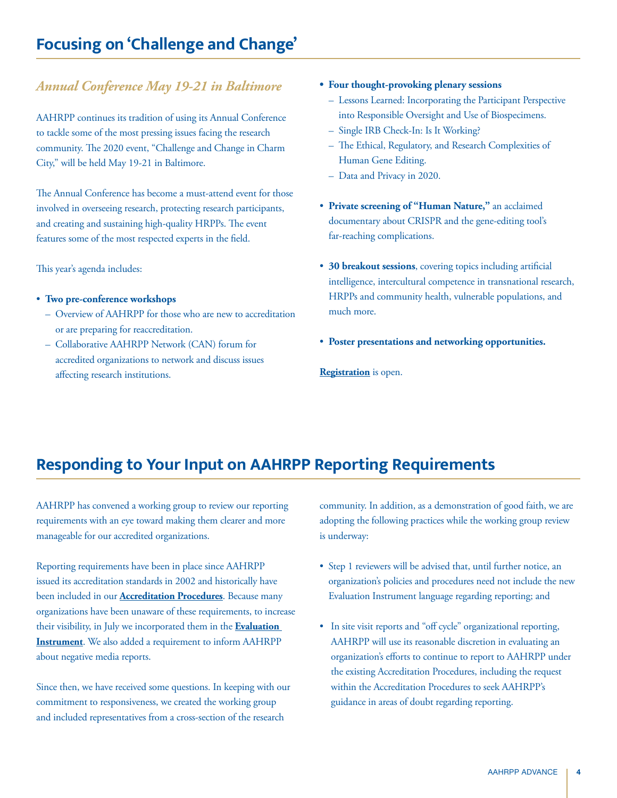### <span id="page-3-0"></span>*Annual Conference May 19-21 in Baltimore*

AAHRPP continues its tradition of using its Annual Conference to tackle some of the most pressing issues facing the research community. The 2020 event, "Challenge and Change in Charm City," will be held May 19-21 in Baltimore.

The Annual Conference has become a must-attend event for those involved in overseeing research, protecting research participants, and creating and sustaining high-quality HRPPs. The event features some of the most respected experts in the field.

This year's agenda includes:

- **Two pre-conference workshops**
	- Overview of AAHRPP for those who are new to accreditation or are preparing for reaccreditation.
	- Collaborative AAHRPP Network (CAN) forum for accredited organizations to network and discuss issues affecting research institutions.
- **Four thought-provoking plenary sessions**
	- Lessons Learned: Incorporating the Participant Perspective into Responsible Oversight and Use of Biospecimens.
	- Single IRB Check-In: Is It Working?
	- The Ethical, Regulatory, and Research Complexities of Human Gene Editing.
	- Data and Privacy in 2020.
- **Private screening of "Human Nature,"** an acclaimed documentary about CRISPR and the gene-editing tool's far-reaching complications.
- **30 breakout sessions**, covering topics including artificial intelligence, intercultural competence in transnational research, HRPPs and community health, vulnerable populations, and much more.
- **Poster presentations and networking opportunities.**

**[Registration](https://cvent.me/BXNYN)** is open.

# **Responding to Your Input on AAHRPP Reporting Requirements**

AAHRPP has convened a working group to review our reporting requirements with an eye toward making them clearer and more manageable for our accredited organizations.

Reporting requirements have been in place since AAHRPP issued its accreditation standards in 2002 and historically have been included in our **[Accreditation Procedures](https://admin.aahrpp.org/Website%20Documents/AAHRPP%20Accreditation%20Procedure%20(2019-07-09).pdf)**. Because many organizations have been unaware of these requirements, to increase their visibility, in July we incorporated them in the **[Evaluation](http://aahrpp.org/apply/web-document-library)  [Instrument](http://aahrpp.org/apply/web-document-library)**. We also added a requirement to inform AAHRPP about negative media reports.

Since then, we have received some questions. In keeping with our commitment to responsiveness, we created the working group and included representatives from a cross-section of the research

community. In addition, as a demonstration of good faith, we are adopting the following practices while the working group review is underway:

- Step 1 reviewers will be advised that, until further notice, an organization's policies and procedures need not include the new Evaluation Instrument language regarding reporting; and
- In site visit reports and "off cycle" organizational reporting, AAHRPP will use its reasonable discretion in evaluating an organization's efforts to continue to report to AAHRPP under the existing Accreditation Procedures, including the request within the Accreditation Procedures to seek AAHRPP's guidance in areas of doubt regarding reporting.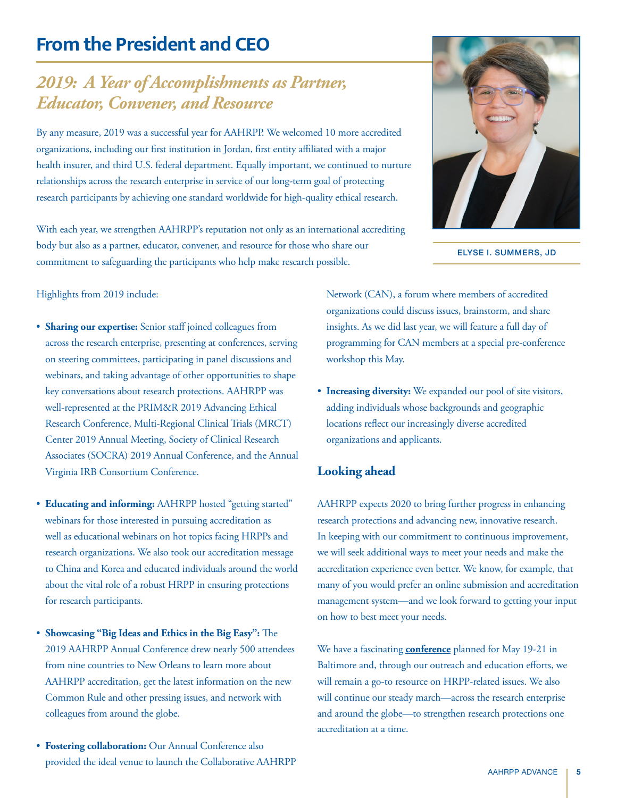# <span id="page-4-0"></span>**From the President and CEO**

# *2019: A Year of Accomplishments as Partner, Educator, Convener, and Resource*

By any measure, 2019 was a successful year for AAHRPP. We welcomed 10 more accredited organizations, including our first institution in Jordan, first entity affiliated with a major health insurer, and third U.S. federal department. Equally important, we continued to nurture relationships across the research enterprise in service of our long-term goal of protecting research participants by achieving one standard worldwide for high-quality ethical research.

With each year, we strengthen AAHRPP's reputation not only as an international accrediting body but also as a partner, educator, convener, and resource for those who share our commitment to safeguarding the participants who help make research possible.



ELYSE I. SUMMERS, JD

### Highlights from 2019 include:

- **Sharing our expertise:** Senior staff joined colleagues from across the research enterprise, presenting at conferences, serving on steering committees, participating in panel discussions and webinars, and taking advantage of other opportunities to shape key conversations about research protections. AAHRPP was well-represented at the PRIM&R 2019 Advancing Ethical Research Conference, Multi-Regional Clinical Trials (MRCT) Center 2019 Annual Meeting, Society of Clinical Research Associates (SOCRA) 2019 Annual Conference, and the Annual Virginia IRB Consortium Conference.
- **Educating and informing:** AAHRPP hosted "getting started" webinars for those interested in pursuing accreditation as well as educational webinars on hot topics facing HRPPs and research organizations. We also took our accreditation message to China and Korea and educated individuals around the world about the vital role of a robust HRPP in ensuring protections for research participants.
- **Showcasing "Big Ideas and Ethics in the Big Easy":** The 2019 AAHRPP Annual Conference drew nearly 500 attendees from nine countries to New Orleans to learn more about AAHRPP accreditation, get the latest information on the new Common Rule and other pressing issues, and network with colleagues from around the globe.
- **Fostering collaboration:** Our Annual Conference also provided the ideal venue to launch the Collaborative AAHRPP

Network (CAN), a forum where members of accredited organizations could discuss issues, brainstorm, and share insights. As we did last year, we will feature a full day of programming for CAN members at a special pre-conference workshop this May.

• **Increasing diversity:** We expanded our pool of site visitors, adding individuals whose backgrounds and geographic locations reflect our increasingly diverse accredited organizations and applicants.

### **Looking ahead**

AAHRPP expects 2020 to bring further progress in enhancing research protections and advancing new, innovative research. In keeping with our commitment to continuous improvement, we will seek additional ways to meet your needs and make the accreditation experience even better. We know, for example, that many of you would prefer an online submission and accreditation management system—and we look forward to getting your input on how to best meet your needs.

We have a fascinating **[conference](https://cvent.me/BXNYN)** planned for May 19-21 in Baltimore and, through our outreach and education efforts, we will remain a go-to resource on HRPP-related issues. We also will continue our steady march—across the research enterprise and around the globe—to strengthen research protections one accreditation at a time.